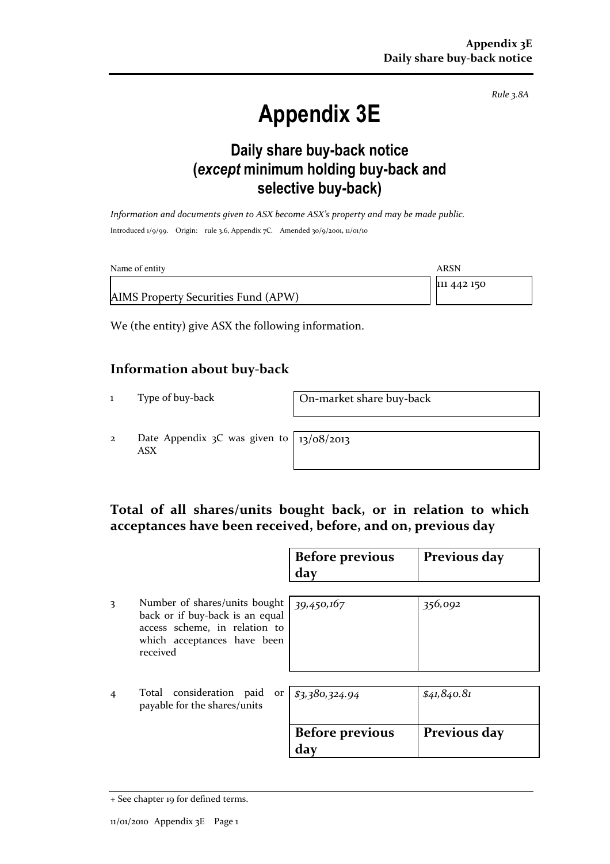Rule 3.8A

# Appendix 3E

### Daily share buy-back notice (except minimum holding buy-back and selective buy-back)

Information and documents given to ASX become ASX's property and may be made public. Introduced 1/9/99. Origin: rule 3.6, Appendix 7C. Amended 30/9/2001, 11/01/10

| Name of entity                      | ARSN        |
|-------------------------------------|-------------|
|                                     | 111 442 150 |
| AIMS Property Securities Fund (APW) |             |

We (the entity) give ASX the following information.

#### Information about buy-back

1 Type of buy-back On-market share buy-back

2 Date Appendix 3C was given to ASX

13/08/2013

#### Total of all shares/units bought back, or in relation to which acceptances have been received, before, and on, previous day

|                |                                                                                                                                              | <b>Before previous</b><br>day | Previous day |
|----------------|----------------------------------------------------------------------------------------------------------------------------------------------|-------------------------------|--------------|
| 3              | Number of shares/units bought<br>back or if buy-back is an equal<br>access scheme, in relation to<br>which acceptances have been<br>received | 39,450,167                    | 356,092      |
| $\overline{4}$ | consideration paid<br>Total<br>payable for the shares/units                                                                                  | or $ $ \$3,380,324.94         | \$41, 840.81 |
|                |                                                                                                                                              | <b>Before previous</b><br>day | Previous day |

<sup>+</sup> See chapter 19 for defined terms.